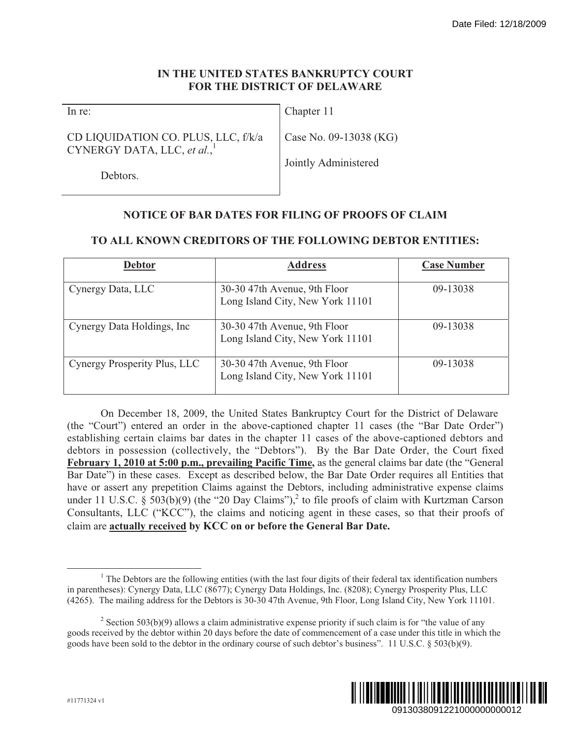## **IN THE UNITED STATES BANKRUPTCY COURT FOR THE DISTRICT OF DELAWARE**

## CD LIQUIDATION CO. PLUS, LLC, f/k/a CYNERGY DATA, LLC, *et al.*, 1

# **NOTICE OF BAR DATES FOR FILING OF PROOFS OF CLAIM**

|                                                                                                                                                                                                                                                                                                                                                                                                                                                                                                                                                                                                                                                                                                                                                                                                                                                                                                                   |                                                                  |                                                                                                                                                                                                                                  | Date Filed: 12/18/2009    |
|-------------------------------------------------------------------------------------------------------------------------------------------------------------------------------------------------------------------------------------------------------------------------------------------------------------------------------------------------------------------------------------------------------------------------------------------------------------------------------------------------------------------------------------------------------------------------------------------------------------------------------------------------------------------------------------------------------------------------------------------------------------------------------------------------------------------------------------------------------------------------------------------------------------------|------------------------------------------------------------------|----------------------------------------------------------------------------------------------------------------------------------------------------------------------------------------------------------------------------------|---------------------------|
| IN THE UNITED STATES BANKRUPTCY COURT<br>FOR THE DISTRICT OF DELAWARE                                                                                                                                                                                                                                                                                                                                                                                                                                                                                                                                                                                                                                                                                                                                                                                                                                             |                                                                  |                                                                                                                                                                                                                                  |                           |
| In re:                                                                                                                                                                                                                                                                                                                                                                                                                                                                                                                                                                                                                                                                                                                                                                                                                                                                                                            |                                                                  | Chapter 11                                                                                                                                                                                                                       |                           |
| CD LIQUIDATION CO. PLUS, LLC, f/k/a<br>CYNERGY DATA, LLC, et al.,<br>Debtors.                                                                                                                                                                                                                                                                                                                                                                                                                                                                                                                                                                                                                                                                                                                                                                                                                                     |                                                                  | Case No. 09-13038 (KG)                                                                                                                                                                                                           |                           |
|                                                                                                                                                                                                                                                                                                                                                                                                                                                                                                                                                                                                                                                                                                                                                                                                                                                                                                                   |                                                                  | Jointly Administered                                                                                                                                                                                                             |                           |
|                                                                                                                                                                                                                                                                                                                                                                                                                                                                                                                                                                                                                                                                                                                                                                                                                                                                                                                   |                                                                  |                                                                                                                                                                                                                                  |                           |
|                                                                                                                                                                                                                                                                                                                                                                                                                                                                                                                                                                                                                                                                                                                                                                                                                                                                                                                   |                                                                  | <b>NOTICE OF BAR DATES FOR FILING OF PROOFS OF CLAIM</b>                                                                                                                                                                         |                           |
| TO ALL KNOWN CREDITORS OF THE FOLLOWING DEBTOR ENTITIES:                                                                                                                                                                                                                                                                                                                                                                                                                                                                                                                                                                                                                                                                                                                                                                                                                                                          |                                                                  |                                                                                                                                                                                                                                  |                           |
| <b>Debtor</b>                                                                                                                                                                                                                                                                                                                                                                                                                                                                                                                                                                                                                                                                                                                                                                                                                                                                                                     |                                                                  | <b>Address</b>                                                                                                                                                                                                                   | <b>Case Number</b>        |
| Cynergy Data, LLC                                                                                                                                                                                                                                                                                                                                                                                                                                                                                                                                                                                                                                                                                                                                                                                                                                                                                                 | 30-30 47th Avenue, 9th Floor<br>Long Island City, New York 11101 |                                                                                                                                                                                                                                  | 09-13038                  |
| Cynergy Data Holdings, Inc                                                                                                                                                                                                                                                                                                                                                                                                                                                                                                                                                                                                                                                                                                                                                                                                                                                                                        | 30-30 47th Avenue, 9th Floor<br>Long Island City, New York 11101 |                                                                                                                                                                                                                                  | 09-13038                  |
| Cynergy Prosperity Plus, LLC                                                                                                                                                                                                                                                                                                                                                                                                                                                                                                                                                                                                                                                                                                                                                                                                                                                                                      | 30-30 47th Avenue, 9th Floor<br>Long Island City, New York 11101 |                                                                                                                                                                                                                                  | 09-13038                  |
| (the "Court") entered an order in the above-captioned chapter 11 cases (the "Bar Date Order")<br>establishing certain claims bar dates in the chapter 11 cases of the above-captioned debtors and<br>debtors in possession (collectively, the "Debtors"). By the Bar Date Order, the Court fixed<br>February 1, 2010 at 5:00 p.m., prevailing Pacific Time, as the general claims bar date (the "General<br>Bar Date") in these cases. Except as described below, the Bar Date Order requires all Entities that<br>have or assert any prepetition Claims against the Debtors, including administrative expense claims<br>under 11 U.S.C. § 503(b)(9) (the "20 Day Claims"), <sup>2</sup> to file proofs of claim with Kurtzman Carson<br>Consultants, LLC ("KCC"), the claims and noticing agent in these cases, so that their proofs of<br>claim are actually received by KCC on or before the General Bar Date. |                                                                  | On December 18, 2009, the United States Bankruptcy Court for the District of Delaware                                                                                                                                            |                           |
| in parentheses): Cynergy Data, LLC (8677); Cynergy Data Holdings, Inc. (8208); Cynergy Prosperity Plus, LLC<br>(4265). The mailing address for the Debtors is 30-30 47th Avenue, 9th Floor, Long Island City, New York 11101.<br>goods received by the debtor within 20 days before the date of commencement of a case under this title in which the<br>goods have been sold to the debtor in the ordinary course of such debtor's business". 11 U.S.C. § 503(b)(9).                                                                                                                                                                                                                                                                                                                                                                                                                                              |                                                                  | $1$ The Debtors are the following entities (with the last four digits of their federal tax identification numbers<br>$2$ Section 503(b)(9) allows a claim administrative expense priority if such claim is for "the value of any |                           |
| #11771324 v1                                                                                                                                                                                                                                                                                                                                                                                                                                                                                                                                                                                                                                                                                                                                                                                                                                                                                                      |                                                                  |                                                                                                                                                                                                                                  | 0913038091221000000000012 |

## **TO ALL KNOWN CREDITORS OF THE FOLLOWING DEBTOR ENTITIES:**

<sup>&</sup>lt;sup>2</sup> Section 503(b)(9) allows a claim administrative expense priority if such claim is for "the value of any goods received by the debtor within 20 days before the date of commencement of a case under this title in which the goods have been sold to the debtor in the ordinary course of such debtor's business". 11 U.S.C. § 503(b)(9).



<sup>&</sup>lt;sup>1</sup> The Debtors are the following entities (with the last four digits of their federal tax identification numbers in parentheses): Cynergy Data, LLC (8677); Cynergy Data Holdings, Inc. (8208); Cynergy Prosperity Plus, LLC (4265). The mailing address for the Debtors is 30-30 47th Avenue, 9th Floor, Long Island City, New York 11101.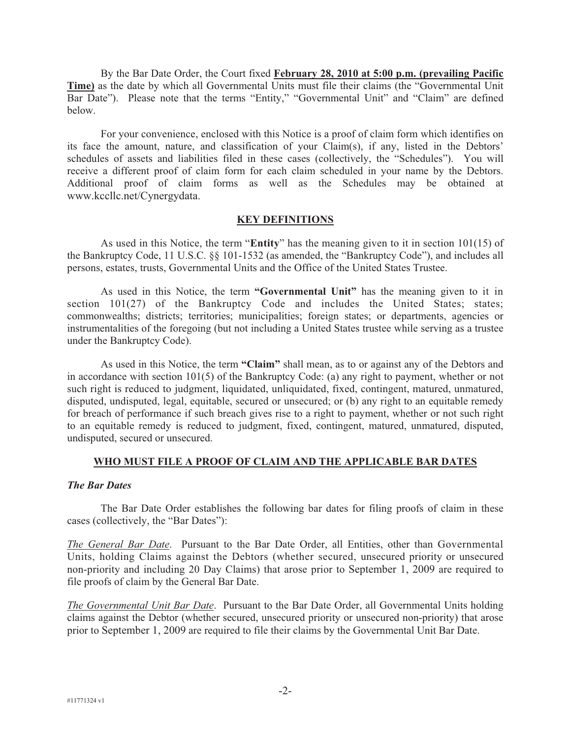By the Bar Date Order, the Court fixed **February 28, 2010 at 5:00 p.m. (prevailing Pacific Time)** as the date by which all Governmental Units must file their claims (the "Governmental Unit Bar Date"). Please note that the terms "Entity," "Governmental Unit" and "Claim" are defined below.

For your convenience, enclosed with this Notice is a proof of claim form which identifies on its face the amount, nature, and classification of your Claim(s), if any, listed in the Debtors' schedules of assets and liabilities filed in these cases (collectively, the "Schedules"). You will receive a different proof of claim form for each claim scheduled in your name by the Debtors. Additional proof of claim forms as well as the Schedules may be obtained at www.kccllc.net/Cynergydata.

#### **KEY DEFINITIONS**

As used in this Notice, the term "**Entity**" has the meaning given to it in section 101(15) of the Bankruptcy Code, 11 U.S.C. §§ 101-1532 (as amended, the "Bankruptcy Code"), and includes all persons, estates, trusts, Governmental Units and the Office of the United States Trustee.

As used in this Notice, the term **"Governmental Unit"** has the meaning given to it in section 101(27) of the Bankruptcy Code and includes the United States; states; commonwealths; districts; territories; municipalities; foreign states; or departments, agencies or instrumentalities of the foregoing (but not including a United States trustee while serving as a trustee under the Bankruptcy Code).

As used in this Notice, the term **"Claim"** shall mean, as to or against any of the Debtors and in accordance with section 101(5) of the Bankruptcy Code: (a) any right to payment, whether or not such right is reduced to judgment, liquidated, unliquidated, fixed, contingent, matured, unmatured, disputed, undisputed, legal, equitable, secured or unsecured; or (b) any right to an equitable remedy for breach of performance if such breach gives rise to a right to payment, whether or not such right to an equitable remedy is reduced to judgment, fixed, contingent, matured, unmatured, disputed, undisputed, secured or unsecured.

## **WHO MUST FILE A PROOF OF CLAIM AND THE APPLICABLE BAR DATES**

#### *The Bar Dates*

The Bar Date Order establishes the following bar dates for filing proofs of claim in these cases (collectively, the "Bar Dates"):

*The General Bar Date*. Pursuant to the Bar Date Order, all Entities, other than Governmental Units, holding Claims against the Debtors (whether secured, unsecured priority or unsecured non-priority and including 20 Day Claims) that arose prior to September 1, 2009 are required to file proofs of claim by the General Bar Date.

*The Governmental Unit Bar Date*. Pursuant to the Bar Date Order, all Governmental Units holding claims against the Debtor (whether secured, unsecured priority or unsecured non-priority) that arose prior to September 1, 2009 are required to file their claims by the Governmental Unit Bar Date.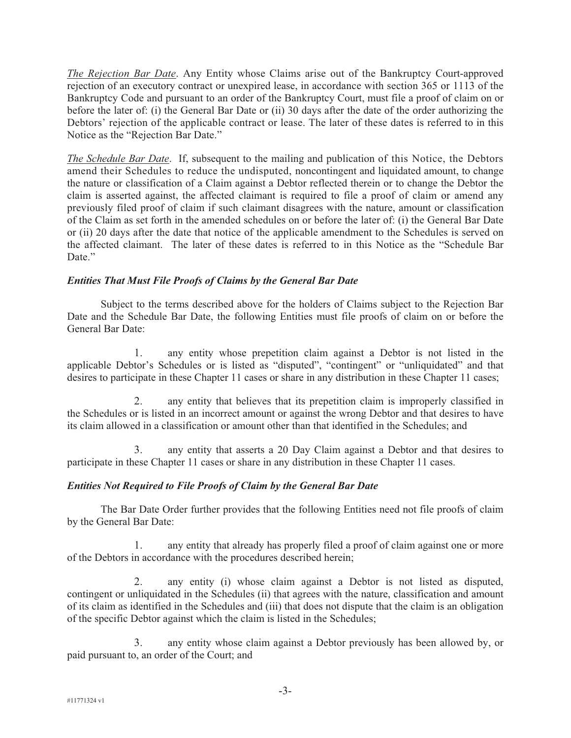*The Rejection Bar Date*. Any Entity whose Claims arise out of the Bankruptcy Court-approved rejection of an executory contract or unexpired lease, in accordance with section 365 or 1113 of the Bankruptcy Code and pursuant to an order of the Bankruptcy Court, must file a proof of claim on or before the later of: (i) the General Bar Date or (ii) 30 days after the date of the order authorizing the Debtors' rejection of the applicable contract or lease. The later of these dates is referred to in this Notice as the "Rejection Bar Date."

*The Schedule Bar Date*. If, subsequent to the mailing and publication of this Notice, the Debtors amend their Schedules to reduce the undisputed, noncontingent and liquidated amount, to change the nature or classification of a Claim against a Debtor reflected therein or to change the Debtor the claim is asserted against, the affected claimant is required to file a proof of claim or amend any previously filed proof of claim if such claimant disagrees with the nature, amount or classification of the Claim as set forth in the amended schedules on or before the later of: (i) the General Bar Date or (ii) 20 days after the date that notice of the applicable amendment to the Schedules is served on the affected claimant. The later of these dates is referred to in this Notice as the "Schedule Bar Date."

## *Entities That Must File Proofs of Claims by the General Bar Date*

Subject to the terms described above for the holders of Claims subject to the Rejection Bar Date and the Schedule Bar Date, the following Entities must file proofs of claim on or before the General Bar Date:

1. any entity whose prepetition claim against a Debtor is not listed in the applicable Debtor's Schedules or is listed as "disputed", "contingent" or "unliquidated" and that desires to participate in these Chapter 11 cases or share in any distribution in these Chapter 11 cases;

2. any entity that believes that its prepetition claim is improperly classified in the Schedules or is listed in an incorrect amount or against the wrong Debtor and that desires to have its claim allowed in a classification or amount other than that identified in the Schedules; and

3. any entity that asserts a 20 Day Claim against a Debtor and that desires to participate in these Chapter 11 cases or share in any distribution in these Chapter 11 cases.

## *Entities Not Required to File Proofs of Claim by the General Bar Date*

The Bar Date Order further provides that the following Entities need not file proofs of claim by the General Bar Date:

1. any entity that already has properly filed a proof of claim against one or more of the Debtors in accordance with the procedures described herein;

2. any entity (i) whose claim against a Debtor is not listed as disputed, contingent or unliquidated in the Schedules (ii) that agrees with the nature, classification and amount of its claim as identified in the Schedules and (iii) that does not dispute that the claim is an obligation of the specific Debtor against which the claim is listed in the Schedules;

3. any entity whose claim against a Debtor previously has been allowed by, or paid pursuant to, an order of the Court; and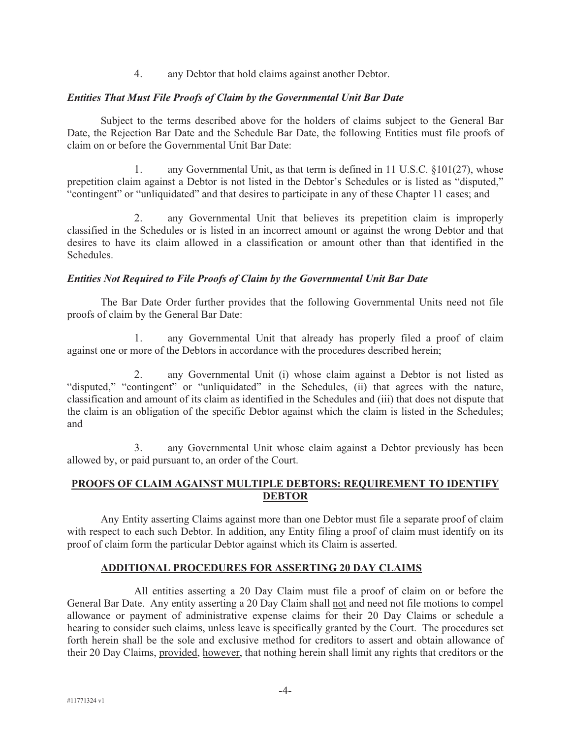4. any Debtor that hold claims against another Debtor.

#### *Entities That Must File Proofs of Claim by the Governmental Unit Bar Date*

Subject to the terms described above for the holders of claims subject to the General Bar Date, the Rejection Bar Date and the Schedule Bar Date, the following Entities must file proofs of claim on or before the Governmental Unit Bar Date:

1. any Governmental Unit, as that term is defined in 11 U.S.C. §101(27), whose prepetition claim against a Debtor is not listed in the Debtor's Schedules or is listed as "disputed," "contingent" or "unliquidated" and that desires to participate in any of these Chapter 11 cases; and

2. any Governmental Unit that believes its prepetition claim is improperly classified in the Schedules or is listed in an incorrect amount or against the wrong Debtor and that desires to have its claim allowed in a classification or amount other than that identified in the Schedules.

#### *Entities Not Required to File Proofs of Claim by the Governmental Unit Bar Date*

The Bar Date Order further provides that the following Governmental Units need not file proofs of claim by the General Bar Date:

1. any Governmental Unit that already has properly filed a proof of claim against one or more of the Debtors in accordance with the procedures described herein;

2. any Governmental Unit (i) whose claim against a Debtor is not listed as "disputed," "contingent" or "unliquidated" in the Schedules, (ii) that agrees with the nature, classification and amount of its claim as identified in the Schedules and (iii) that does not dispute that the claim is an obligation of the specific Debtor against which the claim is listed in the Schedules; and

3. any Governmental Unit whose claim against a Debtor previously has been allowed by, or paid pursuant to, an order of the Court.

## **PROOFS OF CLAIM AGAINST MULTIPLE DEBTORS: REQUIREMENT TO IDENTIFY DEBTOR**

Any Entity asserting Claims against more than one Debtor must file a separate proof of claim with respect to each such Debtor. In addition, any Entity filing a proof of claim must identify on its proof of claim form the particular Debtor against which its Claim is asserted.

#### **ADDITIONAL PROCEDURES FOR ASSERTING 20 DAY CLAIMS**

All entities asserting a 20 Day Claim must file a proof of claim on or before the General Bar Date. Any entity asserting a 20 Day Claim shall not and need not file motions to compel allowance or payment of administrative expense claims for their 20 Day Claims or schedule a hearing to consider such claims, unless leave is specifically granted by the Court. The procedures set forth herein shall be the sole and exclusive method for creditors to assert and obtain allowance of their 20 Day Claims, provided, however, that nothing herein shall limit any rights that creditors or the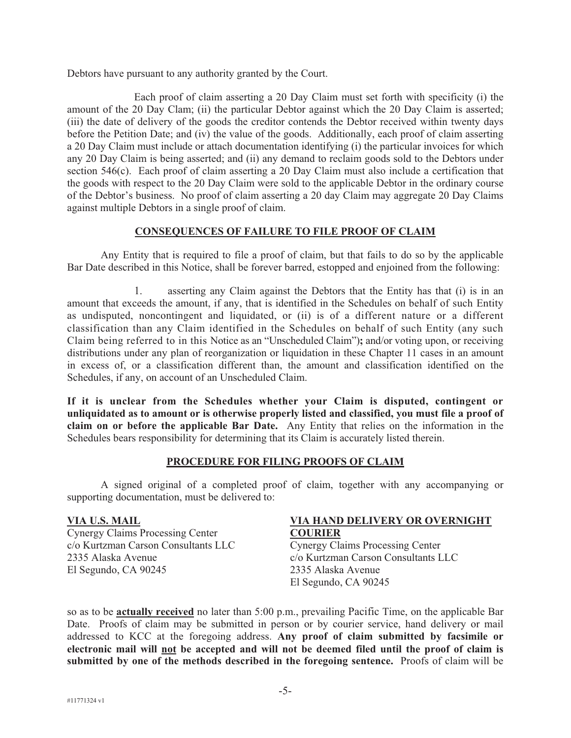Debtors have pursuant to any authority granted by the Court.

Each proof of claim asserting a 20 Day Claim must set forth with specificity (i) the amount of the 20 Day Clam; (ii) the particular Debtor against which the 20 Day Claim is asserted; (iii) the date of delivery of the goods the creditor contends the Debtor received within twenty days before the Petition Date; and (iv) the value of the goods. Additionally, each proof of claim asserting a 20 Day Claim must include or attach documentation identifying (i) the particular invoices for which any 20 Day Claim is being asserted; and (ii) any demand to reclaim goods sold to the Debtors under section 546(c). Each proof of claim asserting a 20 Day Claim must also include a certification that the goods with respect to the 20 Day Claim were sold to the applicable Debtor in the ordinary course of the Debtor's business. No proof of claim asserting a 20 day Claim may aggregate 20 Day Claims against multiple Debtors in a single proof of claim.

## **CONSEQUENCES OF FAILURE TO FILE PROOF OF CLAIM**

Any Entity that is required to file a proof of claim, but that fails to do so by the applicable Bar Date described in this Notice, shall be forever barred, estopped and enjoined from the following:

1. asserting any Claim against the Debtors that the Entity has that (i) is in an amount that exceeds the amount, if any, that is identified in the Schedules on behalf of such Entity as undisputed, noncontingent and liquidated, or (ii) is of a different nature or a different classification than any Claim identified in the Schedules on behalf of such Entity (any such Claim being referred to in this Notice as an "Unscheduled Claim")**;** and/or voting upon, or receiving distributions under any plan of reorganization or liquidation in these Chapter 11 cases in an amount in excess of, or a classification different than, the amount and classification identified on the Schedules, if any, on account of an Unscheduled Claim.

**If it is unclear from the Schedules whether your Claim is disputed, contingent or unliquidated as to amount or is otherwise properly listed and classified, you must file a proof of claim on or before the applicable Bar Date.** Any Entity that relies on the information in the Schedules bears responsibility for determining that its Claim is accurately listed therein.

## **PROCEDURE FOR FILING PROOFS OF CLAIM**

A signed original of a completed proof of claim, together with any accompanying or supporting documentation, must be delivered to:

#### **VIA U.S. MAIL**

Cynergy Claims Processing Center c/o Kurtzman Carson Consultants LLC 2335 Alaska Avenue El Segundo, CA 90245

#### **VIA HAND DELIVERY OR OVERNIGHT COURIER**

Cynergy Claims Processing Center c/o Kurtzman Carson Consultants LLC 2335 Alaska Avenue El Segundo, CA 90245

so as to be **actually received** no later than 5:00 p.m., prevailing Pacific Time, on the applicable Bar Date. Proofs of claim may be submitted in person or by courier service, hand delivery or mail addressed to KCC at the foregoing address. **Any proof of claim submitted by facsimile or electronic mail will not be accepted and will not be deemed filed until the proof of claim is submitted by one of the methods described in the foregoing sentence.** Proofs of claim will be